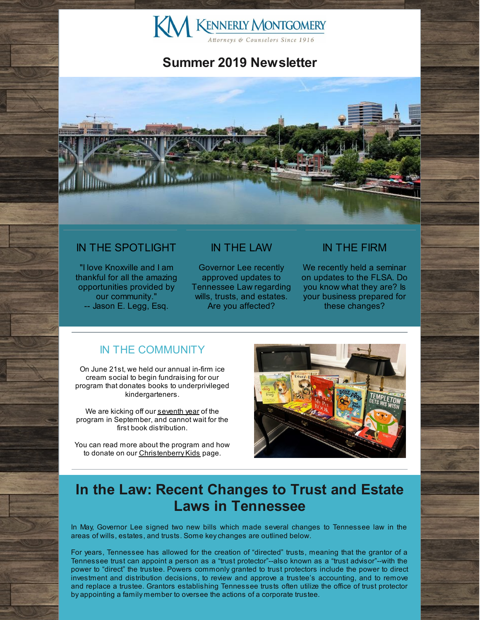

## **Summer 2019 Newsletter**



### IN THE SPOTLIGHT

"I love Knoxville and I am thankful for all the amazing opportunities provided by our community." -- Jason E. Legg, Esq.

#### IN THE LAW

Governor Lee recently approved updates to Tennessee Law regarding wills, trusts, and estates. Are you affected?

#### IN THE FIRM

We recently held a seminar on updates to the FLSA. Do you know what they are? Is your business prepared for these changes?

### IN THE COMMUNITY

On June 21st, we held our annual in-firm ice cream social to begin fundraising for our program that donates books to underprivileged kindergarteners.

We are kicking off our [seventh](http://www.kmfpc.com/Articles/seven_years_of_christenberry_kids.aspx) year of the program in September, and cannot wait for the first book distribution.

You can read more about the program and how to donate on our [Christenberry](http://www.kmfpc.com/our_firm/christenberry_kids.aspx) Kids page.



# **In the Law: Recent Changes to Trust and Estate Laws in Tennessee**

In May, Governor Lee signed two new bills which made several changes to Tennessee law in the areas of wills, estates, and trusts. Some keychanges are outlined below.

For years, Tennessee has allowed for the creation of "directed" trusts, meaning that the grantor of a Tennessee trust can appoint a person as a "trust protector"--also known as a "trust advisor"--with the power to "direct" the trustee. Powers commonly granted to trust protectors include the power to direct investment and distribution decisions, to review and approve a trustee's accounting, and to remove and replace a trustee. Grantors establishing Tennessee trusts often utilize the office of trust protector by appointing a family member to oversee the actions of a corporate trustee.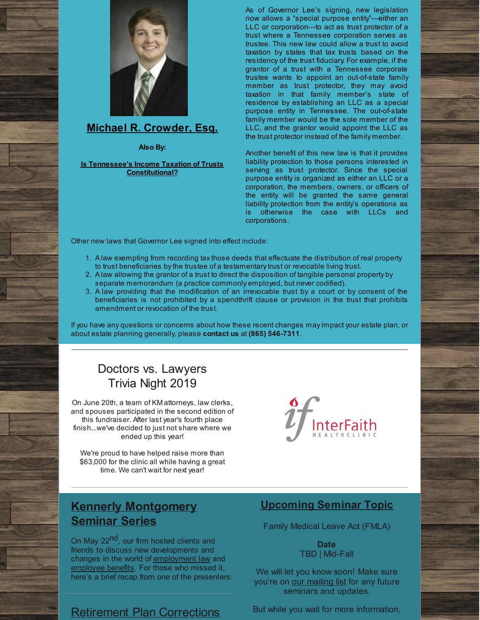

### **Michael R. [Crowder,](http://www.kmfpc.com/attorneys/michael_r_crowder.aspx) Esq.**

**Also By:**

#### **Is Tennessee's Income Taxation of Trusts [Constitutional?](http://www.kmfpc.com/Articles/is_tennessees_income_taxation_of_trusts_constitutional.aspx)**

As of Governor Lee's signing, new legislation now allows a "special purpose entity"—either an LLC or corporation—to act as trust protector of a trust where a Tennessee corporation serves as trustee. This new law could allow a trust to avoid taxation by states that tax trusts based on the residency of the trust fiduciary. For example, if the grantor of a trust with a Tennessee corporate trustee wants to appoint an out-of-state family member as trust protector, they may avoid taxation in that family member's state of residence by establishing an LLC as a special purpose entity in Tennessee. The out-of-state family member would be the sole member of the LLC, and the grantor would appoint the LLC as the trust protector instead of the family member.

Another benefit of this new law is that it provides liability protection to those persons interested in serving as trust protector. Since the special purpose entity is organized as either an LLC or a corporation, the members, owners, or officers of the entity will be granted the same general liability protection from the entity's operations as is otherwise the case with LLCs and corporations.

Other new laws that Governor Lee signed into effect include:

- 1. A law exempting from recording taxthose deeds that effectuate the distribution of real property to trust beneficiaries bythe trustee of a testamentarytrust or revocable living trust.
- 2. A law allowing the grantor of a trust to direct the disposition of tangible personal property by separate memorandum (a practice commonly employed, but never codified).
- 3. A law providing that the modification of an irrevocable trust by a court or by consent of the beneficiaries is not prohibited by a spendthrift clause or provision in the trust that prohibits amendment or revocation of the trust.

If you have any questions or concerns about how these recent changes mayimpact your estate plan, or about estate planning generally, please **contact us** at **(865) 546-7311**.

## Doctors vs. Lawyers Trivia Night 2019

On June 20th, a team of KM attorneys, law clerks, and spouses participated in the second edition of this fundraiser. After last year's fourth place finish...we've decided to just not share where we ended up this year!

We're proud to have helped raise more than \$63,000 for the clinic all while having a great time. We can't wait for next year!



### **Kennerly Montgomery Seminar Series**

On May 22<sup>nd</sup>, our firm hosted clients and friends to discuss new developments and changes in the world of [employment](http://www.kmfpc.com/practice_areas/employment_law.aspx) law and [employee](http://www.kmfpc.com/practice_areas/pension_and_employee_benefits.aspx) benefits. For those who missed it, here's a brief recap from one of the presenters:

### Retirement Plan Corrections

### **Upcoming Seminar Topic**

Family Medical Leave Act (FMLA)

**Date** TBD | Mid-Fall

We will let you know soon! Make sure you're on our [mailing](https://visitor.r20.constantcontact.com/manage/optin?v=001-YTPmf0lLKY-QpXN4CdbPAtbe_8sP0ZLpWoVtwu9bSB19R3HdrJyNwu4T82Dk88aKktT88JfEVcfho9JhOcRCRWIorF9UBCEatXbW_SZ5U2LXfmliGiwVRlaWzjD_z3sWEysZPfRGT1wYm5zJNynSgkN4g-PpDypbw2mFzqNL5D8AhX86ZQ0s2iHLnwAArMs) list for any future seminars and updates.

But while you wait for more information,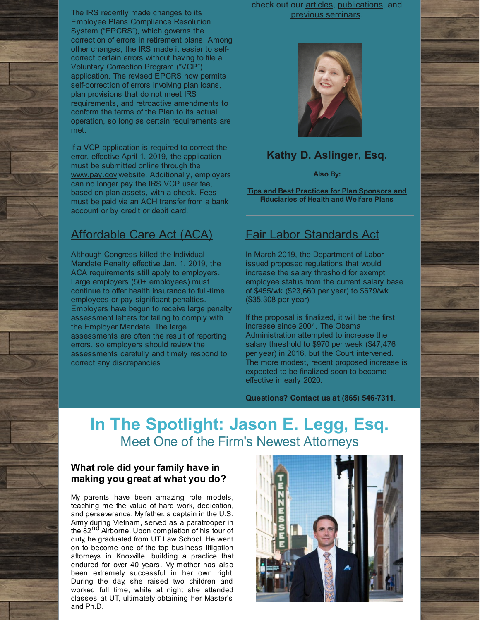The IRS recently made changes to its Employee Plans Compliance Resolution System ("EPCRS"), which governs the correction of errors in retirement plans. Among other changes, the IRS made it easier to selfcorrect certain errors without having to file a Voluntary Correction Program ("VCP") application. The revised EPCRS now permits self-correction of errors involving plan loans, plan provisions that do not meet IRS requirements, and retroactive amendments to conform the terms of the Plan to its actual operation, so long as certain requirements are met.

If a VCP application is required to correct the error, effective April 1, 2019, the application must be submitted online through the [www.pay.gov](http://www.pay.gov/) website. Additionally, employers can no longer pay the IRS VCP user fee, based on plan assets, with a check. Fees must be paid via an ACH transfer from a bank account or by credit or debit card.

### Affordable Care Act (ACA)

Although Congress killed the Individual Mandate Penalty effective Jan. 1, 2019, the ACA requirements still apply to employers. Large employers (50+ employees) must continue to offer health insurance to full-time employees or pay significant penalties. Employers have begun to receive large penalty assessment letters for failing to comply with the Employer Mandate. The large assessments are often the result of reporting errors, so employers should review the assessments carefully and timely respond to correct any discrepancies.

check out our [articles](http://www.kmfpc.com/articles_and_publications.aspx), [publications](http://www.kmfpc.com/our_firm/publications.aspx), and previous [seminars](http://www.kmfpc.com/our_firm/seminars_education.aspx).



### **Kathy D. [Aslinger,](http://www.kmfpc.com/attorneys/kathy_d_aslinger.aspx) Esq.**

**Also By:**

**Tips and Best Practices for Plan Sponsors and [Fiduciaries](http://westminster-consulting.com/Media/Confero/Issue25/tips-and-best-practices-for-plan-sponsors-and-fiduciaries-of-health-and-welfare-plans) of Health and Welfare Plans**

### Fair Labor Standards Act

In March 2019, the Department of Labor issued proposed regulations that would increase the salary threshold for exempt employee status from the current salary base of \$455/wk (\$23,660 per year) to \$679/wk (\$35,308 per year).

If the proposal is finalized, it will be the first increase since 2004. The Obama Administration attempted to increase the salary threshold to \$970 per week (\$47,476 per year) in 2016, but the Court intervened. The more modest, recent proposed increase is expected to be finalized soon to become effective in early 2020.

**Questions? Contact us at (865) 546-7311**.

# **In The Spotlight: Jason E. Legg, Esq.** Meet One of the Firm's Newest Attorneys

#### **What role did your family have in making you great at what you do?**

My parents have been amazing role models, teaching me the value of hard work, dedication, and perseverance. My father, a captain in the U.S. Army during Vietnam, served as a paratrooper in the 82<sup>nd</sup> Airborne. Upon completion of his tour of duty, he graduated from UT Law School. He went on to become one of the top business litigation attorneys in Knoxville, building a practice that endured for over 40 years. My mother has also been extremely successful in her own right. During the day, she raised two children and worked full time, while at night she attended classes at UT, ultimately obtaining her Master's and Ph.D.